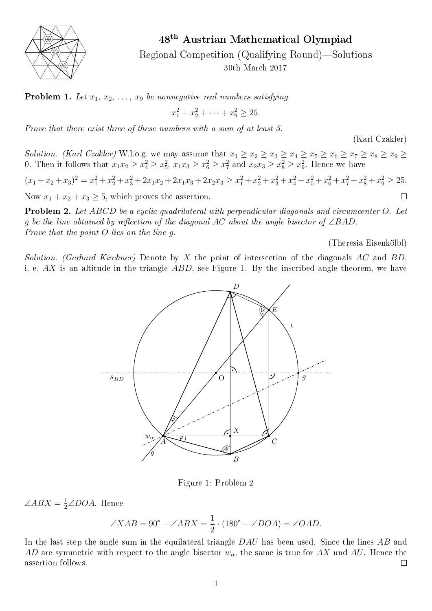

48th Austrian Mathematical Olympiad

Regional Competition (Qualifying Round)—Solutions

30th March 2017

**Problem 1.** Let  $x_1, x_2, \ldots, x_9$  be nonnegative real numbers satisfying

$$
x_1^2 + x_2^2 + \dots + x_9^2 \ge 25.
$$

Prove that there exist three of these numbers with a sum of at least 5.

(Karl Czakler)

Solution. (Karl Czakler) W.l.o.g. we may assume that  $x_1 \ge x_2 \ge x_3 \ge x_4 \ge x_5 \ge x_6 \ge x_7 \ge x_8 \ge x_9 \ge x_9$ 0. Then it follows that  $x_1x_2 \ge x_4^2 \ge x_5^2$ ,  $x_1x_3 \ge x_6^2 \ge x_7^2$  and  $x_2x_3 \ge x_8^2 \ge x_9^2$ . Hence we have

 $(x_1 + x_2 + x_3)^2 = x_1^2 + x_2^2 + x_3^2 + 2x_1x_2 + 2x_1x_3 + 2x_2x_3 \ge x_1^2 + x_2^2 + x_3^2 + x_4^2 + x_5^2 + x_6^2 + x_7^2 + x_8^2 + x_9^2 \ge 25.$ Now  $x_1 + x_2 + x_3 \geq 5$ , which proves the assertion.  $\Box$ 

Problem 2. Let ABCD be a cyclic quadrilateral with perpendicular diagonals and circumcenter O. Let g be the line obtained by reflection of the diagonal AC about the angle bisector of  $\angle BAD$ . Prove that the point O lies on the line g.

(Theresia Eisenkölbl)

<span id="page-0-0"></span>Solution. (Gerhard Kirchner) Denote by X the point of intersection of the diagonals AC and BD, i. e.  $AX$  is an altitude in the triangle  $ABD$ , see Figure [1.](#page-0-0) By the inscribed angle theorem, we have



Figure 1: Problem 2

 $\angle ABX = \frac{1}{2} \angle DOA$ . Hence

ence  
\n
$$
\angle XAB = 90^{\circ} - \angle ABX = \frac{1}{2} \cdot (180^{\circ} - \angle DOA) = \angle OAD.
$$

In the last step the angle sum in the equilateral triangle DAU has been used. Since the lines AB and AD are symmetric with respect to the angle bisector  $w_{\alpha}$ , the same is true for AX und AU. Hence the assertion follows.  $\Box$